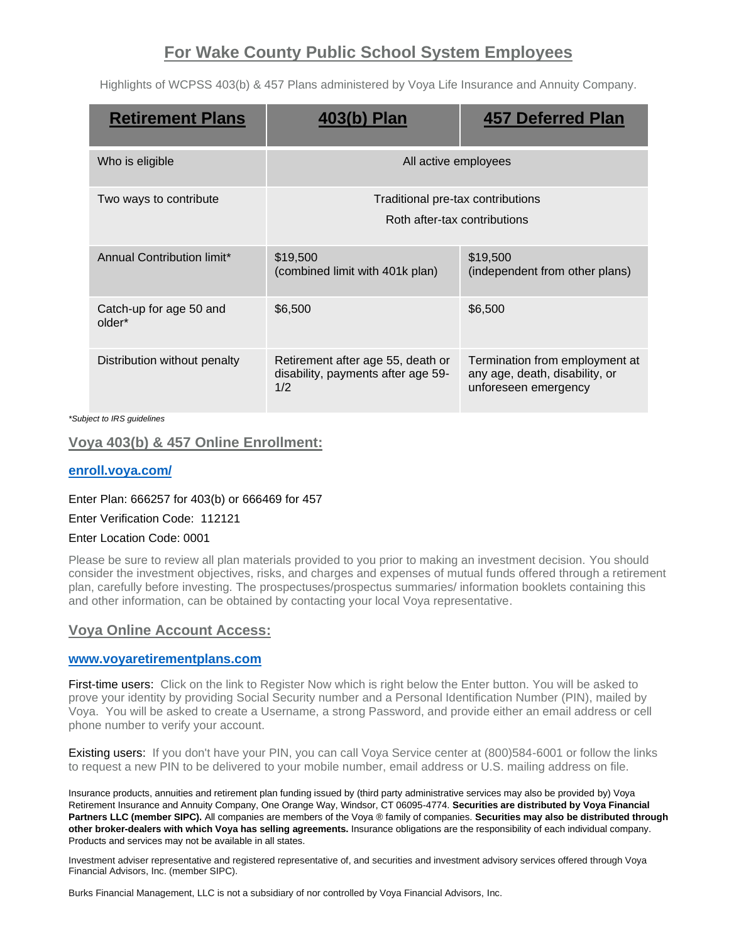# **For Wake County Public School System Employees**

Highlights of WCPSS 403(b) & 457 Plans administered by Voya Life Insurance and Annuity Company.

| <b>Retirement Plans</b>           | ) Plan                                                                         | <b>457 Deferred Plan</b>                                                                 |
|-----------------------------------|--------------------------------------------------------------------------------|------------------------------------------------------------------------------------------|
| Who is eligible                   | All active employees                                                           |                                                                                          |
| Two ways to contribute            | Traditional pre-tax contributions<br>Roth after-tax contributions              |                                                                                          |
| Annual Contribution limit*        | \$19,500<br>(combined limit with 401k plan)                                    | \$19,500<br>(independent from other plans)                                               |
| Catch-up for age 50 and<br>older* | \$6,500                                                                        | \$6,500                                                                                  |
| Distribution without penalty      | Retirement after age 55, death or<br>disability, payments after age 59-<br>1/2 | Termination from employment at<br>any age, death, disability, or<br>unforeseen emergency |

*\*Subject to IRS guidelines*

## **Voya 403(b) & 457 Online Enrollment:**

### **[enroll.voya.com/](https://enroll.voya.com/static/evoyaenroll/index.html)**

#### Enter Plan: 666257 for 403(b) or 666469 for 457

#### Enter Verification Code: 112121

#### Enter Location Code: 0001

Please be sure to review all plan materials provided to you prior to making an investment decision. You should consider the investment objectives, risks, and charges and expenses of mutual funds offered through a retirement plan, carefully before investing. The prospectuses/prospectus summaries/ information booklets containing this and other information, can be obtained by contacting your local Voya representative.

### **Voya Online Account Access:**

#### **[www.voyaretirementplans.com](http://www.voyaretirementplans.com/)**

First-time users: Click on the link to Register Now which is right below the Enter button. You will be asked to prove your identity by providing Social Security number and a Personal Identification Number (PIN), mailed by Voya. You will be asked to create a Username, a strong Password, and provide either an email address or cell phone number to verify your account.

Existing users: If you don't have your PIN, you can call Voya Service center at (800)584-6001 or follow the links to request a new PIN to be delivered to your mobile number, email address or U.S. mailing address on file.

Insurance products, annuities and retirement plan funding issued by (third party administrative services may also be provided by) Voya Retirement Insurance and Annuity Company, One Orange Way, Windsor, CT 06095-4774. **Securities are distributed by Voya Financial Partners LLC (member SIPC).** All companies are members of the Voya ® family of companies. **Securities may also be distributed through other broker-dealers with which Voya has selling agreements.** Insurance obligations are the responsibility of each individual company. Products and services may not be available in all states.

Investment adviser representative and registered representative of, and securities and investment advisory services offered through Voya Financial Advisors, Inc. (member SIPC).

Burks Financial Management, LLC is not a subsidiary of nor controlled by Voya Financial Advisors, Inc.